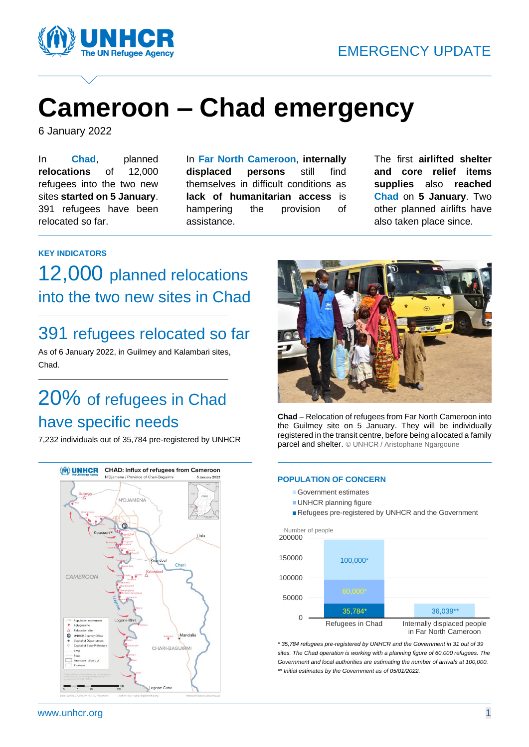

# **Cameroon – Chad emergency**

6 January 2022

In **Chad**, planned **relocations** of 12,000 refugees into the two new sites **started on 5 January**. 391 refugees have been relocated so far.

In **Far North Cameroon**, **internally displaced persons** still find themselves in difficult conditions as **lack of humanitarian access** is hampering the provision of assistance.

The first **airlifted shelter and core relief items supplies** also **reached Chad** on **5 January**. Two other planned airlifts have also taken place since.

### **KEY INDICATORS**

12,000 planned relocations into the two new sites in Chad

## 391 refugees relocated so far

As of 6 January 2022, in Guilmey and Kalambari sites, Chad.

## 20% of refugees in Chad have specific needs

7,232 individuals out of 35,784 pre-registered by UNHCR





**Chad** – Relocation of refugees from Far North Cameroon into the Guilmey site on 5 January. They will be individually registered in the transit centre, before being allocated a family parcel and shelter. © UNHCR / Aristophane Ngargoune

### **POPULATION OF CONCERN**

- Government estimates
- **UNHCR** planning figure
- Refugees pre-registered by UNHCR and the Government



*\* 35,784 refugees pre-registered by UNHCR and the Government in 31 out of 39 sites. The Chad operation is working with a planning figure of 60,000 refugees. The Government and local authorities are estimating the number of arrivals at 100,000. \*\* Initial estimates by the Government as of 05/01/2022.*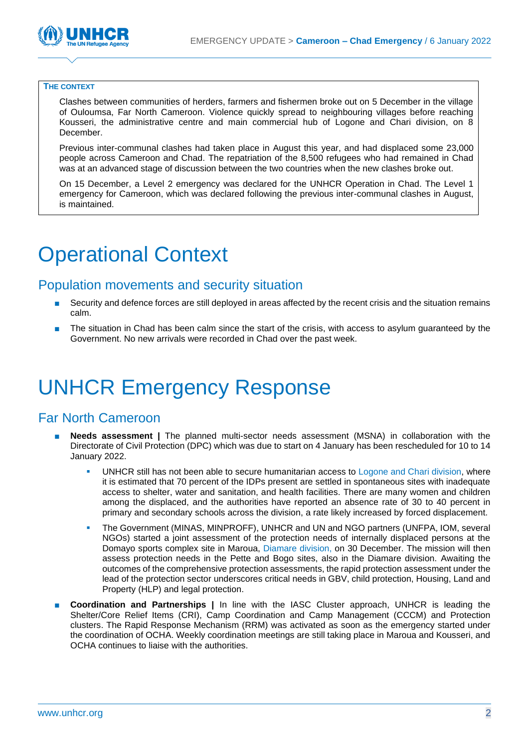

#### **THE CONTEXT**

Clashes between communities of herders, farmers and fishermen broke out on 5 December in the village of Ouloumsa, Far North Cameroon. Violence quickly spread to neighbouring villages before reaching Kousseri, the administrative centre and main commercial hub of Logone and Chari division, on 8 December.

Previous inter-communal clashes had taken place in August this year, and had displaced some 23,000 people across Cameroon and Chad. The repatriation of the 8,500 refugees who had remained in Chad was at an advanced stage of discussion between the two countries when the new clashes broke out.

On 15 December, a Level 2 emergency was declared for the UNHCR Operation in Chad. The Level 1 emergency for Cameroon, which was declared following the previous inter-communal clashes in August, is maintained.

# Operational Context

### Population movements and security situation

- Security and defence forces are still deployed in areas affected by the recent crisis and the situation remains calm.
- The situation in Chad has been calm since the start of the crisis, with access to asylum guaranteed by the Government. No new arrivals were recorded in Chad over the past week.

## UNHCR Emergency Response

### Far North Cameroon

- **Needs assessment** | The planned multi-sector needs assessment (MSNA) in collaboration with the Directorate of Civil Protection (DPC) which was due to start on 4 January has been rescheduled for 10 to 14 January 2022.
	- UNHCR still has not been able to secure humanitarian access to Logone and Chari division, where it is estimated that 70 percent of the IDPs present are settled in spontaneous sites with inadequate access to shelter, water and sanitation, and health facilities. There are many women and children among the displaced, and the authorities have reported an absence rate of 30 to 40 percent in primary and secondary schools across the division, a rate likely increased by forced displacement.
	- The Government (MINAS, MINPROFF), UNHCR and UN and NGO partners (UNFPA, IOM, several NGOs) started a joint assessment of the protection needs of internally displaced persons at the Domayo sports complex site in Maroua, Diamare division, on 30 December. The mission will then assess protection needs in the Pette and Bogo sites, also in the Diamare division. Awaiting the outcomes of the comprehensive protection assessments, the rapid protection assessment under the lead of the protection sector underscores critical needs in GBV, child protection, Housing, Land and Property (HLP) and legal protection.
- **Coordination and Partnerships | In line with the IASC Cluster approach, UNHCR is leading the** Shelter/Core Relief Items (CRI), Camp Coordination and Camp Management (CCCM) and Protection clusters. The Rapid Response Mechanism (RRM) was activated as soon as the emergency started under the coordination of OCHA. Weekly coordination meetings are still taking place in Maroua and Kousseri, and OCHA continues to liaise with the authorities.